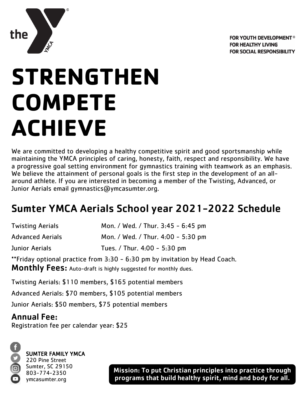

## **STRENGTHEN COMPETE ACHIEVE**

We are committed to developing a healthy competitive spirit and good sportsmanship while maintaining the YMCA principles of caring, honesty, faith, respect and responsibility. We have a progressive goal setting environment for gymnastics training with teamwork as an emphasis. We believe the attainment of personal goals is the first step in the development of an allaround athlete. If you are interested in becoming a member of the Twisting, Advanced, or Junior Aerials email gymnastics@ymcasumter.org.

## Sumter YMCA Aerials School year 2021-2022 Schedule

| <b>Twisting Aerials</b> | Mon. / Wed. / Thur. 3:45 - 6:45 pm |
|-------------------------|------------------------------------|
| <b>Advanced Aerials</b> | Mon. / Wed. / Thur. 4:00 - 5:30 pm |
| Junior Aerials          | Tues. / Thur. $4:00 - 5:30$ pm     |

\*\*Friday optional practice from 3:30 - 6:30 pm by invitation by Head Coach. Monthly Fees: Auto-draft is highly suggested for monthly dues.

Twisting Aerials: \$110 members, \$165 potential members

Advanced Aerials: \$70 members, \$105 potential members

Junior Aerials: \$50 members, \$75 potential members

## Annual Fee:

Registration fee per calendar year: \$25



the

SUMTER FAMILY YMCA 220 Pine Street

Sumter, SC 29150 803-774-2350 ymcasumter.org

Mission: To put Christian principles into practice through programs that build healthy spirit, mind and body for all.